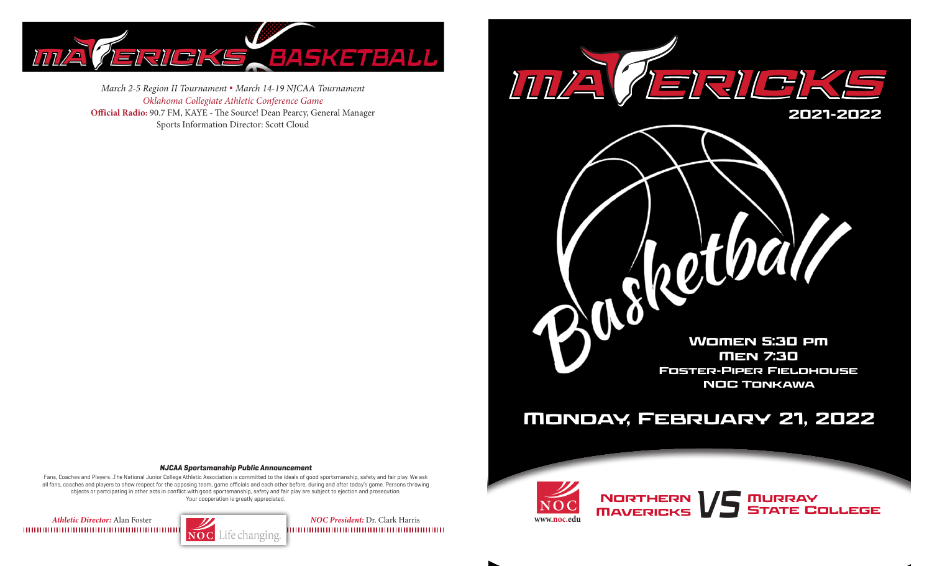

*March 2-5 Region II Tournament* **.** *March 14-19 NJCAA Tournament Oklahoma Collegiate Athletic Conference Game* **Official Radio:** 90.7 FM, KAYE - The Source! Dean Pearcy, General Manager Sports Information Director: Scott Cloud



Wo Retball Men 7:30 Foster-Piper Fieldhouse NOC Tonkawa

**MURRAY<br>STATE COLLEGE** 

## Monday, February 21, 2022

NORTHERN<br>MAVERICKS

#### **NJCAA Sportsmanship Public Announcement**

Fans, Coaches and Players...The National Junior College Athletic Association is committed to the ideals of good sportsmanship, safety and fair play. We ask all fans, coaches and players to show respect for the opposing team, game officials and each other before, during and after today's game. Persons throwing objects or partcipating in other acts in conflict with good sportsmanship, safety and fair play are subject to ejection and prosecution. Your cooperation is greatly appreciated.